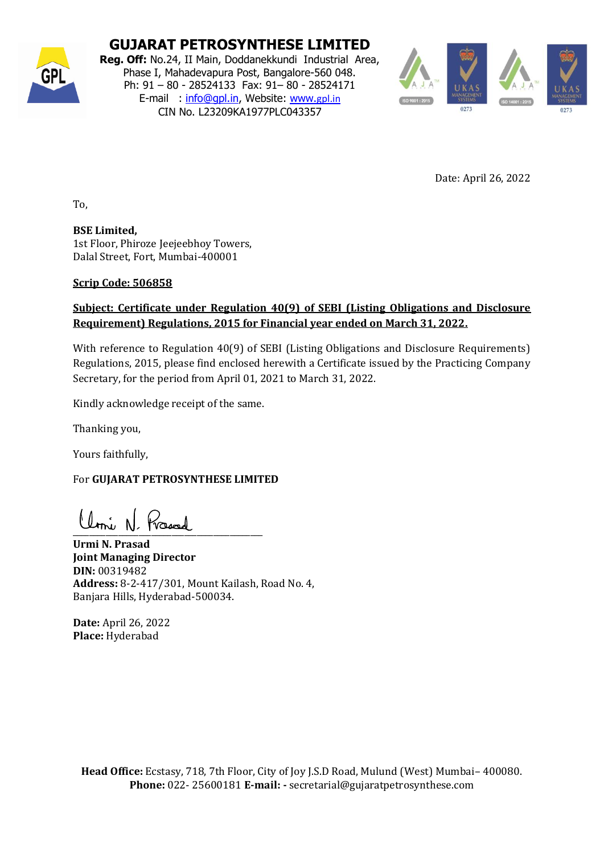

### **GUJARAT PETROSYNTHESE LIMITED**

**Reg. Off:** No.24, II Main, Doddanekkundi Industrial Area, Phase I, Mahadevapura Post, Bangalore-560 048. Ph: 91 – 80 - 28524133 Fax: 91– 80 - 28524171 E-mail : [info@gpl.in,](mailto:info@gpl.in) Website: [www.](http://www.gpl.in/)[gpl.in](http://www.gpl.in/) CIN No. L23209KA1977PLC043357



Date: April 26, 2022

To,

**BSE Limited,**  1st Floor, Phiroze Jeejeebhoy Towers, Dalal Street, Fort, Mumbai-400001

### **Scrip Code: 506858**

### **Subject: Certificate under Regulation 40(9) of SEBI (Listing Obligations and Disclosure Requirement) Regulations, 2015 for Financial year ended on March 31, 2022.**

With reference to Regulation 40(9) of SEBI (Listing Obligations and Disclosure Requirements) Regulations, 2015, please find enclosed herewith a Certificate issued by the Practicing Company Secretary, for the period from April 01, 2021 to March 31, 2022.

Kindly acknowledge receipt of the same.

Thanking you,

Yours faithfully,

For **GUJARAT PETROSYNTHESE LIMITED** 

 $\frac{1}{2}$ 

**Urmi N. Prasad Joint Managing Director DIN:** 00319482 **Address:** 8-2-417/301, Mount Kailash, Road No. 4, Banjara Hills, Hyderabad-500034.

**Date:** April 26, 2022 **Place:** Hyderabad